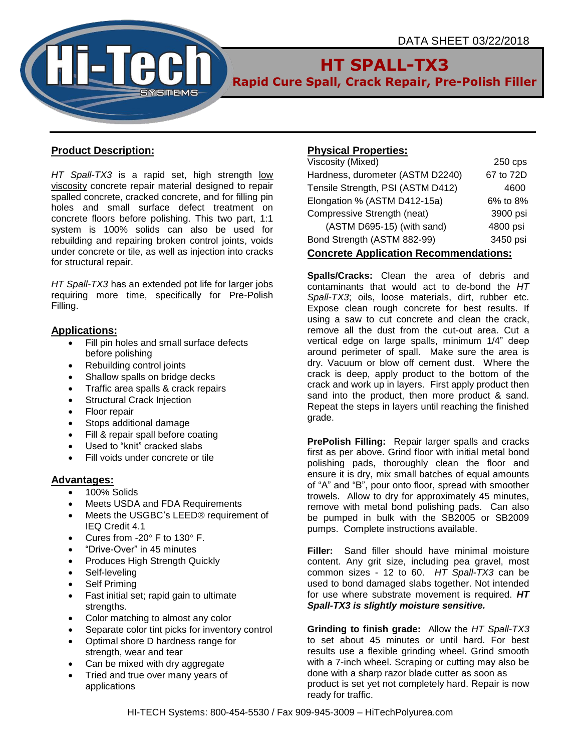

# **HT SPALL-TX3**

**Rapid Cure Spall, Crack Repair, Pre-Polish Filler**

## **Product Description:**

*HT Spall-TX3* is a rapid set, high strength low viscosity concrete repair material designed to repair spalled concrete, cracked concrete, and for filling pin holes and small surface defect treatment on concrete floors before polishing. This two part, 1:1 system is 100% solids can also be used for rebuilding and repairing broken control joints, voids under concrete or tile, as well as injection into cracks for structural repair.

*HT Spall-TX3* has an extended pot life for larger jobs requiring more time, specifically for Pre-Polish Filling.

## **Applications:**

- Fill pin holes and small surface defects before polishing
- Rebuilding control joints
- Shallow spalls on bridge decks
- Traffic area spalls & crack repairs
- Structural Crack Injection
- Floor repair
- Stops additional damage
- Fill & repair spall before coating
- Used to "knit" cracked slabs
- Fill voids under concrete or tile

## **Advantages:**

- 100% Solids
- Meets USDA and FDA Requirements
- Meets the USGBC's LEED® requirement of IEQ Credit 4.1
- Cures from -20 $^{\circ}$  F to 130 $^{\circ}$  F.
- "Drive-Over" in 45 minutes
- Produces High Strength Quickly
- Self-leveling
- Self Priming
- Fast initial set; rapid gain to ultimate strengths.
- Color matching to almost any color
- Separate color tint picks for inventory control
- Optimal shore D hardness range for strength, wear and tear
- Can be mixed with dry aggregate
- Tried and true over many years of applications

## **Physical Properties:**

| Viscosity (Mixed)                            | $250$ cps |  |  |  |
|----------------------------------------------|-----------|--|--|--|
| Hardness, durometer (ASTM D2240)             | 67 to 72D |  |  |  |
| Tensile Strength, PSI (ASTM D412)            | 4600      |  |  |  |
| Elongation % (ASTM D412-15a)                 | 6% to 8%  |  |  |  |
| Compressive Strength (neat)                  | 3900 psi  |  |  |  |
| (ASTM D695-15) (with sand)                   | 4800 psi  |  |  |  |
| Bond Strength (ASTM 882-99)                  | 3450 psi  |  |  |  |
| <b>Concrete Application Recommendations:</b> |           |  |  |  |

**Spalls/Cracks:** Clean the area of debris and contaminants that would act to de-bond the *HT Spall-TX3*; oils, loose materials, dirt, rubber etc. Expose clean rough concrete for best results. If using a saw to cut concrete and clean the crack, remove all the dust from the cut-out area. Cut a vertical edge on large spalls, minimum 1/4" deep around perimeter of spall. Make sure the area is dry. Vacuum or blow off cement dust. Where the crack is deep, apply product to the bottom of the crack and work up in layers. First apply product then sand into the product, then more product & sand. Repeat the steps in layers until reaching the finished grade.

**PrePolish Filling:** Repair larger spalls and cracks first as per above. Grind floor with initial metal bond polishing pads, thoroughly clean the floor and ensure it is dry, mix small batches of equal amounts of "A" and "B", pour onto floor, spread with smoother trowels. Allow to dry for approximately 45 minutes, remove with metal bond polishing pads. Can also be pumped in bulk with the SB2005 or SB2009 pumps. Complete instructions available.

**Filler:** Sand filler should have minimal moisture content. Any grit size, including pea gravel, most common sizes - 12 to 60. *HT Spall-TX3* can be used to bond damaged slabs together. Not intended for use where substrate movement is required. *HT Spall-TX3 is slightly moisture sensitive.*

**Grinding to finish grade:** Allow the *HT Spall-TX3* to set about 45 minutes or until hard. For best results use a flexible grinding wheel. Grind smooth with a 7-inch wheel. Scraping or cutting may also be done with a sharp razor blade cutter as soon as product is set yet not completely hard. Repair is now ready for traffic.